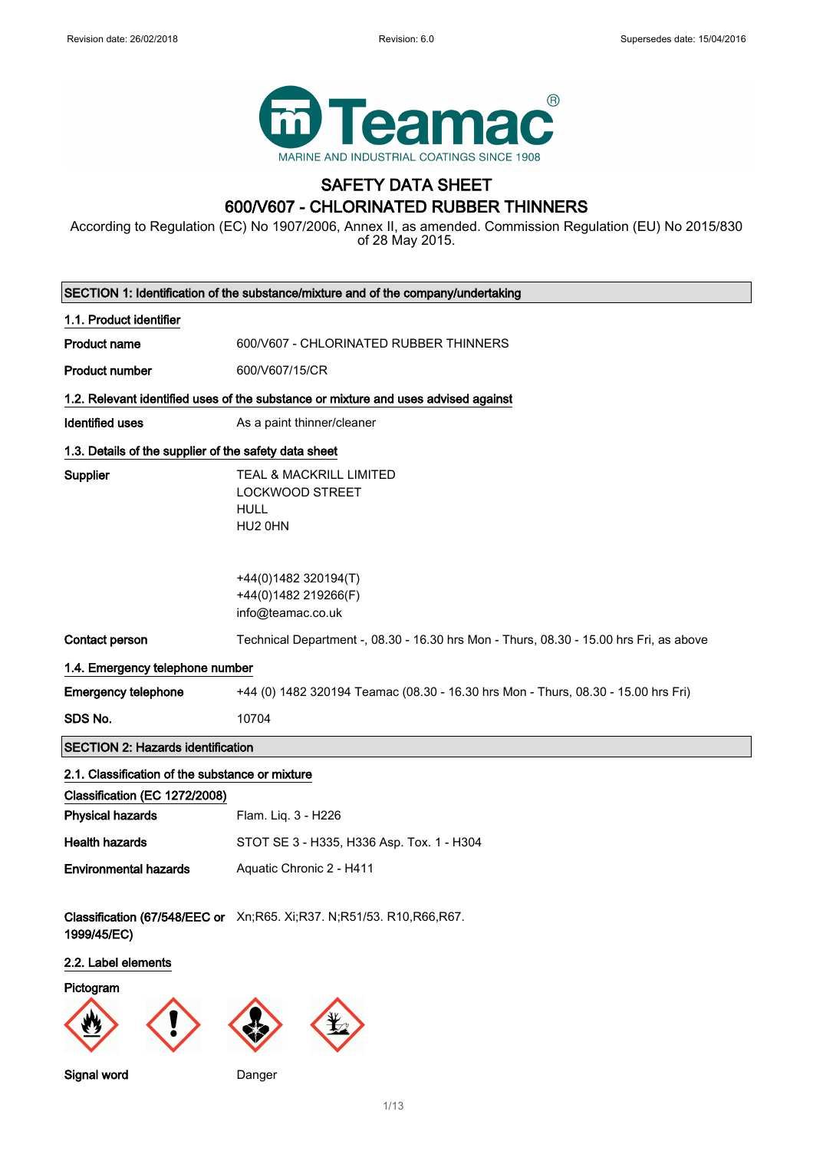

## SAFETY DATA SHEET 600/V607 - CHLORINATED RUBBER THINNERS

According to Regulation (EC) No 1907/2006, Annex II, as amended. Commission Regulation (EU) No 2015/830 of 28 May 2015.

| SECTION 1: Identification of the substance/mixture and of the company/undertaking |                                                                                                                                                  |  |
|-----------------------------------------------------------------------------------|--------------------------------------------------------------------------------------------------------------------------------------------------|--|
| 1.1. Product identifier                                                           |                                                                                                                                                  |  |
| <b>Product name</b>                                                               | 600/V607 - CHLORINATED RUBBER THINNERS                                                                                                           |  |
| <b>Product number</b>                                                             | 600/V607/15/CR                                                                                                                                   |  |
|                                                                                   | 1.2. Relevant identified uses of the substance or mixture and uses advised against                                                               |  |
| <b>Identified uses</b>                                                            | As a paint thinner/cleaner                                                                                                                       |  |
| 1.3. Details of the supplier of the safety data sheet                             |                                                                                                                                                  |  |
| Supplier                                                                          | TEAL & MACKRILL LIMITED<br><b>LOCKWOOD STREET</b><br><b>HULL</b><br>HU2 0HN<br>+44(0)1482 320194(T)<br>+44(0)1482 219266(F)<br>info@teamac.co.uk |  |
| Contact person                                                                    | Technical Department -, 08.30 - 16.30 hrs Mon - Thurs, 08.30 - 15.00 hrs Fri, as above                                                           |  |
| 1.4. Emergency telephone number                                                   |                                                                                                                                                  |  |
| <b>Emergency telephone</b>                                                        | +44 (0) 1482 320194 Teamac (08.30 - 16.30 hrs Mon - Thurs, 08.30 - 15.00 hrs Fri)                                                                |  |
| SDS No.                                                                           | 10704                                                                                                                                            |  |
| <b>SECTION 2: Hazards identification</b>                                          |                                                                                                                                                  |  |
| 2.1. Classification of the substance or mixture                                   |                                                                                                                                                  |  |
| Classification (EC 1272/2008)                                                     |                                                                                                                                                  |  |
| <b>Physical hazards</b>                                                           | Flam. Liq. 3 - H226                                                                                                                              |  |
| <b>Health hazards</b>                                                             | STOT SE 3 - H335, H336 Asp. Tox. 1 - H304                                                                                                        |  |
| <b>Environmental hazards</b>                                                      | Aquatic Chronic 2 - H411                                                                                                                         |  |
| 1999/45/EC)                                                                       | Classification (67/548/EEC or Xn;R65. Xi;R37. N;R51/53. R10,R66,R67.                                                                             |  |
| 2.2. Label elements                                                               |                                                                                                                                                  |  |
| Pictogram                                                                         |                                                                                                                                                  |  |
| <b>Signal word</b>                                                                | Danger                                                                                                                                           |  |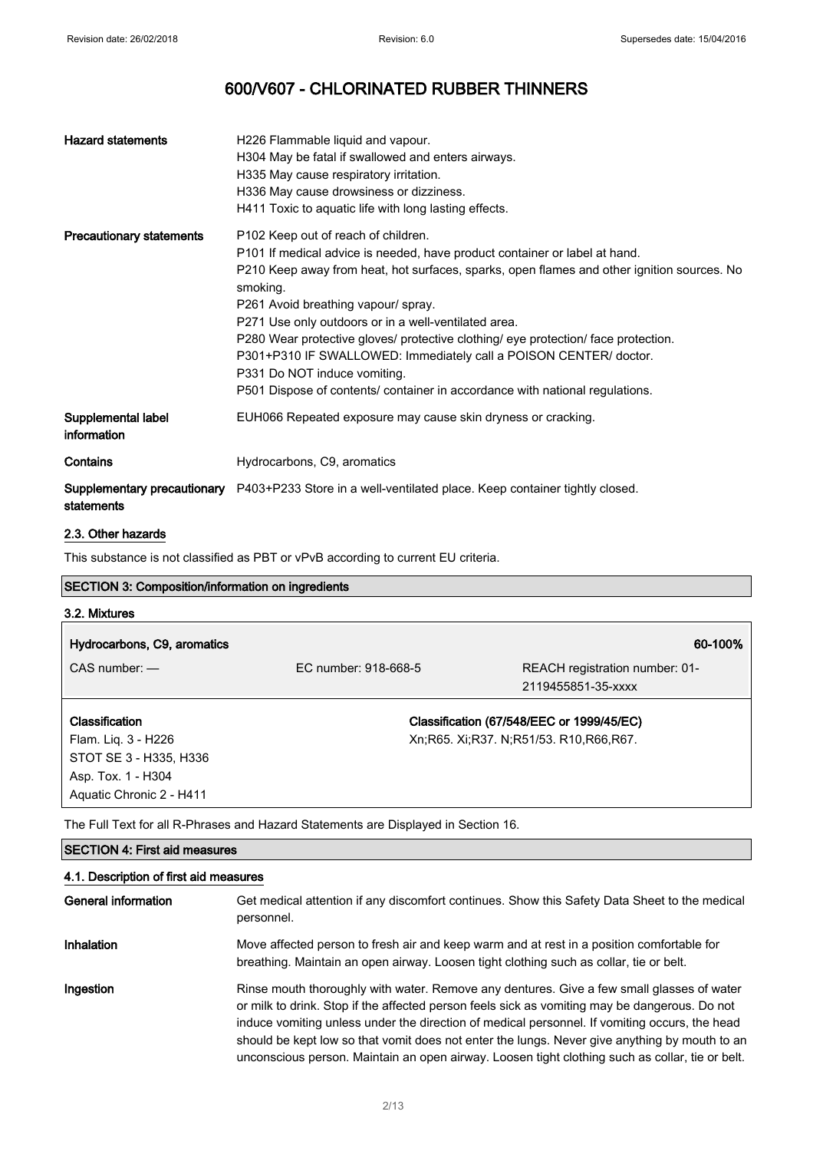| <b>Hazard statements</b>                  | H226 Flammable liquid and vapour.<br>H304 May be fatal if swallowed and enters airways.<br>H335 May cause respiratory irritation.<br>H336 May cause drowsiness or dizziness.<br>H411 Toxic to aquatic life with long lasting effects.                                                                                                                                                                                                                                                                                                                                                                             |
|-------------------------------------------|-------------------------------------------------------------------------------------------------------------------------------------------------------------------------------------------------------------------------------------------------------------------------------------------------------------------------------------------------------------------------------------------------------------------------------------------------------------------------------------------------------------------------------------------------------------------------------------------------------------------|
| <b>Precautionary statements</b>           | P <sub>102</sub> Keep out of reach of children.<br>P101 If medical advice is needed, have product container or label at hand.<br>P210 Keep away from heat, hot surfaces, sparks, open flames and other ignition sources. No<br>smoking.<br>P261 Avoid breathing vapour/ spray.<br>P271 Use only outdoors or in a well-ventilated area.<br>P280 Wear protective gloves/ protective clothing/ eye protection/ face protection.<br>P301+P310 IF SWALLOWED: Immediately call a POISON CENTER/ doctor.<br>P331 Do NOT induce vomiting.<br>P501 Dispose of contents/ container in accordance with national regulations. |
| Supplemental label<br>information         | EUH066 Repeated exposure may cause skin dryness or cracking.                                                                                                                                                                                                                                                                                                                                                                                                                                                                                                                                                      |
| Contains                                  | Hydrocarbons, C9, aromatics                                                                                                                                                                                                                                                                                                                                                                                                                                                                                                                                                                                       |
| Supplementary precautionary<br>statements | P403+P233 Store in a well-ventilated place. Keep container tightly closed.                                                                                                                                                                                                                                                                                                                                                                                                                                                                                                                                        |

## 2.3. Other hazards

This substance is not classified as PBT or vPvB according to current EU criteria.

## SECTION 3: Composition/information on ingredients

| 3.2. Mixtures               |                      |                                             |
|-----------------------------|----------------------|---------------------------------------------|
| Hydrocarbons, C9, aromatics |                      | 60-100%                                     |
| $CAS$ number: $-$           | EC number: 918-668-5 | REACH registration number: 01-              |
|                             |                      | 2119455851-35-xxxx                          |
| <b>Classification</b>       |                      | Classification (67/548/EEC or 1999/45/EC)   |
| Flam. Liq. 3 - H226         |                      | Xn; R65. Xi; R37. N; R51/53. R10, R66, R67. |
| STOT SE 3 - H335, H336      |                      |                                             |
| Asp. Tox. 1 - H304          |                      |                                             |
| Aquatic Chronic 2 - H411    |                      |                                             |

The Full Text for all R-Phrases and Hazard Statements are Displayed in Section 16.

## SECTION 4: First aid measures

## 4.1. Description of first aid measures

| General information | Get medical attention if any discomfort continues. Show this Safety Data Sheet to the medical<br>personnel.                                                                                                                                                                                                                                                                                                                                                                                     |
|---------------------|-------------------------------------------------------------------------------------------------------------------------------------------------------------------------------------------------------------------------------------------------------------------------------------------------------------------------------------------------------------------------------------------------------------------------------------------------------------------------------------------------|
| <b>Inhalation</b>   | Move affected person to fresh air and keep warm and at rest in a position comfortable for<br>breathing. Maintain an open airway. Loosen tight clothing such as collar, tie or belt.                                                                                                                                                                                                                                                                                                             |
| Ingestion           | Rinse mouth thoroughly with water. Remove any dentures. Give a few small glasses of water<br>or milk to drink. Stop if the affected person feels sick as vomiting may be dangerous. Do not<br>induce vomiting unless under the direction of medical personnel. If vomiting occurs, the head<br>should be kept low so that vomit does not enter the lungs. Never give anything by mouth to an<br>unconscious person. Maintain an open airway. Loosen tight clothing such as collar, tie or belt. |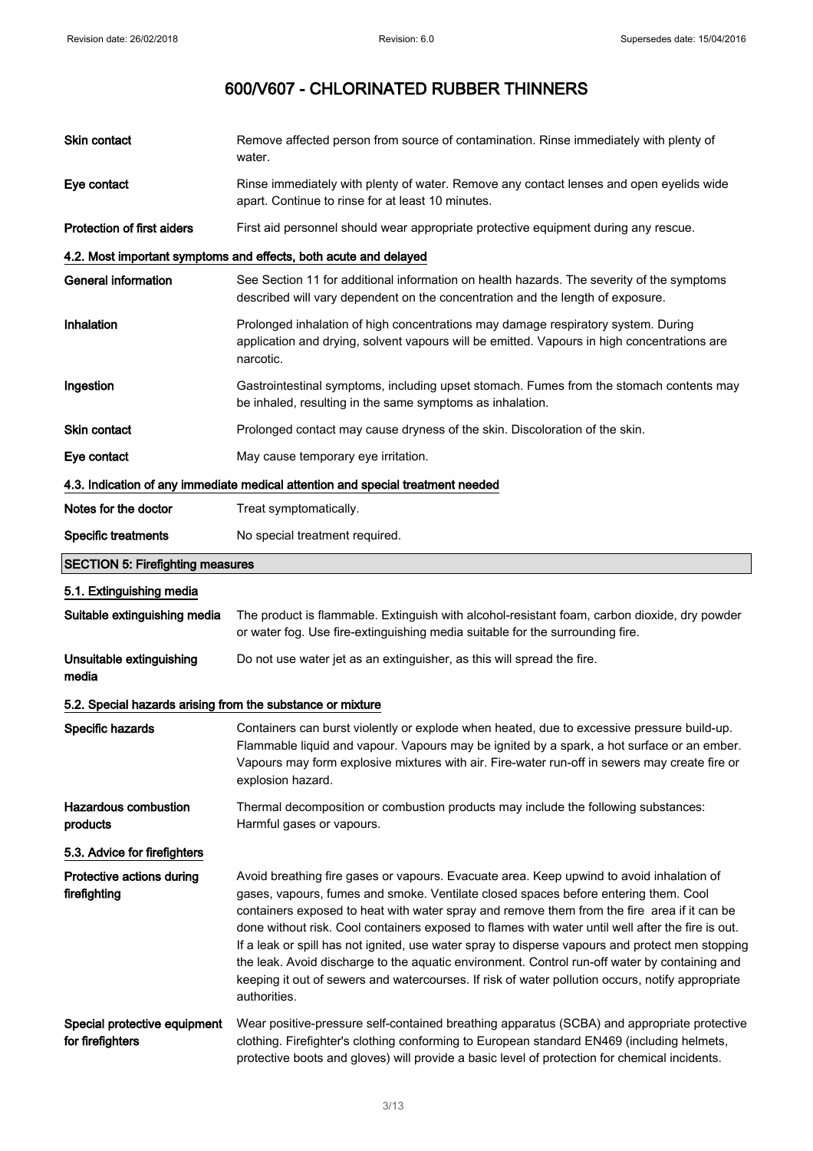| Skin contact                                                                    | Remove affected person from source of contamination. Rinse immediately with plenty of<br>water.                                                                                                                                                                                                                                                                                                                                                                                                                                                                                                                                                                                                              |  |  |
|---------------------------------------------------------------------------------|--------------------------------------------------------------------------------------------------------------------------------------------------------------------------------------------------------------------------------------------------------------------------------------------------------------------------------------------------------------------------------------------------------------------------------------------------------------------------------------------------------------------------------------------------------------------------------------------------------------------------------------------------------------------------------------------------------------|--|--|
| Eye contact                                                                     | Rinse immediately with plenty of water. Remove any contact lenses and open eyelids wide<br>apart. Continue to rinse for at least 10 minutes.                                                                                                                                                                                                                                                                                                                                                                                                                                                                                                                                                                 |  |  |
| Protection of first aiders                                                      | First aid personnel should wear appropriate protective equipment during any rescue.                                                                                                                                                                                                                                                                                                                                                                                                                                                                                                                                                                                                                          |  |  |
|                                                                                 | 4.2. Most important symptoms and effects, both acute and delayed                                                                                                                                                                                                                                                                                                                                                                                                                                                                                                                                                                                                                                             |  |  |
| <b>General information</b>                                                      | See Section 11 for additional information on health hazards. The severity of the symptoms<br>described will vary dependent on the concentration and the length of exposure.                                                                                                                                                                                                                                                                                                                                                                                                                                                                                                                                  |  |  |
| Inhalation                                                                      | Prolonged inhalation of high concentrations may damage respiratory system. During<br>application and drying, solvent vapours will be emitted. Vapours in high concentrations are<br>narcotic.                                                                                                                                                                                                                                                                                                                                                                                                                                                                                                                |  |  |
| Ingestion                                                                       | Gastrointestinal symptoms, including upset stomach. Fumes from the stomach contents may<br>be inhaled, resulting in the same symptoms as inhalation.                                                                                                                                                                                                                                                                                                                                                                                                                                                                                                                                                         |  |  |
| Skin contact                                                                    | Prolonged contact may cause dryness of the skin. Discoloration of the skin.                                                                                                                                                                                                                                                                                                                                                                                                                                                                                                                                                                                                                                  |  |  |
| Eye contact                                                                     | May cause temporary eye irritation.                                                                                                                                                                                                                                                                                                                                                                                                                                                                                                                                                                                                                                                                          |  |  |
| 4.3. Indication of any immediate medical attention and special treatment needed |                                                                                                                                                                                                                                                                                                                                                                                                                                                                                                                                                                                                                                                                                                              |  |  |
| Notes for the doctor                                                            | Treat symptomatically.                                                                                                                                                                                                                                                                                                                                                                                                                                                                                                                                                                                                                                                                                       |  |  |
| <b>Specific treatments</b>                                                      | No special treatment required.                                                                                                                                                                                                                                                                                                                                                                                                                                                                                                                                                                                                                                                                               |  |  |
| <b>SECTION 5: Firefighting measures</b>                                         |                                                                                                                                                                                                                                                                                                                                                                                                                                                                                                                                                                                                                                                                                                              |  |  |
| 5.1. Extinguishing media                                                        |                                                                                                                                                                                                                                                                                                                                                                                                                                                                                                                                                                                                                                                                                                              |  |  |
| Suitable extinguishing media                                                    | The product is flammable. Extinguish with alcohol-resistant foam, carbon dioxide, dry powder<br>or water fog. Use fire-extinguishing media suitable for the surrounding fire.                                                                                                                                                                                                                                                                                                                                                                                                                                                                                                                                |  |  |
| Unsuitable extinguishing<br>media                                               | Do not use water jet as an extinguisher, as this will spread the fire.                                                                                                                                                                                                                                                                                                                                                                                                                                                                                                                                                                                                                                       |  |  |
| 5.2. Special hazards arising from the substance or mixture                      |                                                                                                                                                                                                                                                                                                                                                                                                                                                                                                                                                                                                                                                                                                              |  |  |
| Specific hazards                                                                | Containers can burst violently or explode when heated, due to excessive pressure build-up.<br>Flammable liquid and vapour. Vapours may be ignited by a spark, a hot surface or an ember.<br>Vapours may form explosive mixtures with air. Fire-water run-off in sewers may create fire or<br>explosion hazard.                                                                                                                                                                                                                                                                                                                                                                                               |  |  |
| Hazardous combustion<br>products                                                | Thermal decomposition or combustion products may include the following substances:<br>Harmful gases or vapours.                                                                                                                                                                                                                                                                                                                                                                                                                                                                                                                                                                                              |  |  |
| 5.3. Advice for firefighters                                                    |                                                                                                                                                                                                                                                                                                                                                                                                                                                                                                                                                                                                                                                                                                              |  |  |
| Protective actions during<br>firefighting                                       | Avoid breathing fire gases or vapours. Evacuate area. Keep upwind to avoid inhalation of<br>gases, vapours, fumes and smoke. Ventilate closed spaces before entering them. Cool<br>containers exposed to heat with water spray and remove them from the fire area if it can be<br>done without risk. Cool containers exposed to flames with water until well after the fire is out.<br>If a leak or spill has not ignited, use water spray to disperse vapours and protect men stopping<br>the leak. Avoid discharge to the aquatic environment. Control run-off water by containing and<br>keeping it out of sewers and watercourses. If risk of water pollution occurs, notify appropriate<br>authorities. |  |  |
| Special protective equipment<br>for firefighters                                | Wear positive-pressure self-contained breathing apparatus (SCBA) and appropriate protective<br>clothing. Firefighter's clothing conforming to European standard EN469 (including helmets,<br>protective boots and gloves) will provide a basic level of protection for chemical incidents.                                                                                                                                                                                                                                                                                                                                                                                                                   |  |  |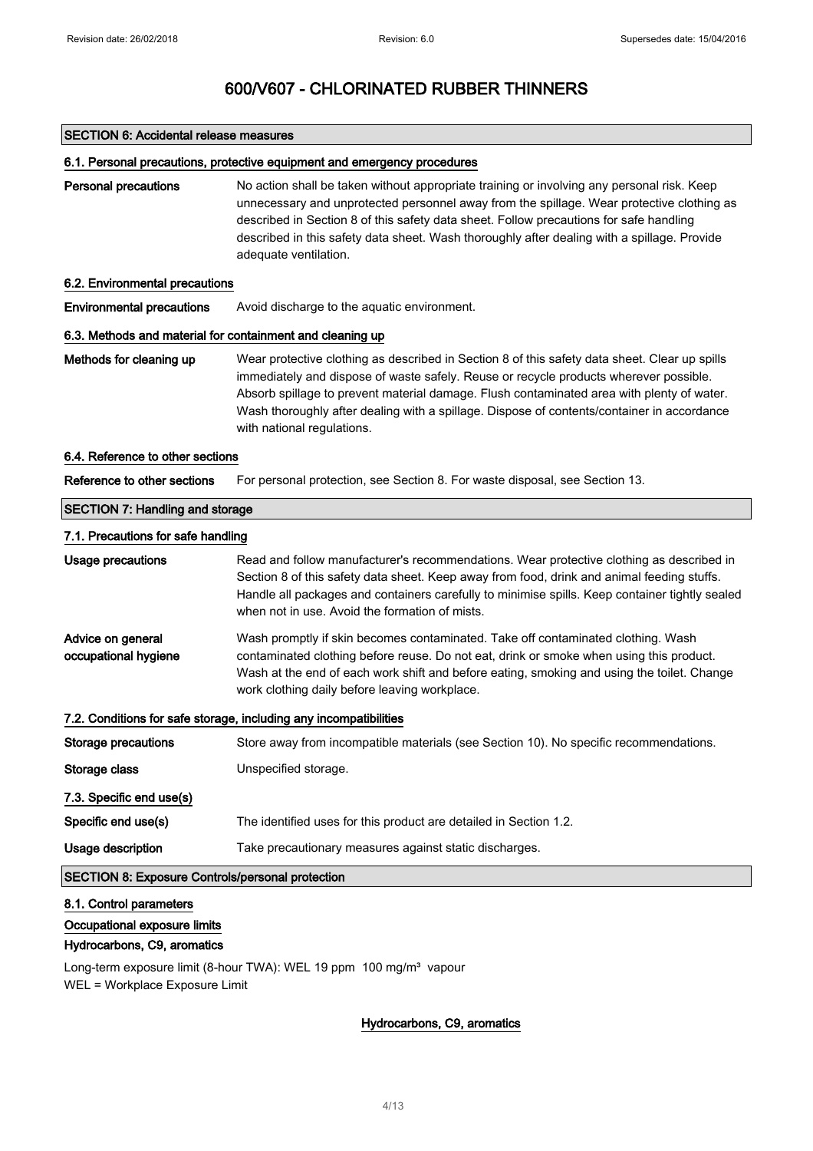### SECTION 6: Accidental release measures

### 6.1. Personal precautions, protective equipment and emergency procedures

Personal precautions No action shall be taken without appropriate training or involving any personal risk. Keep unnecessary and unprotected personnel away from the spillage. Wear protective clothing as described in Section 8 of this safety data sheet. Follow precautions for safe handling described in this safety data sheet. Wash thoroughly after dealing with a spillage. Provide adequate ventilation.

### 6.2. Environmental precautions

Environmental precautions Avoid discharge to the aquatic environment.

### 6.3. Methods and material for containment and cleaning up

Methods for cleaning up Wear protective clothing as described in Section 8 of this safety data sheet. Clear up spills immediately and dispose of waste safely. Reuse or recycle products wherever possible. Absorb spillage to prevent material damage. Flush contaminated area with plenty of water. Wash thoroughly after dealing with a spillage. Dispose of contents/container in accordance with national regulations.

## 6.4. Reference to other sections

Reference to other sections For personal protection, see Section 8. For waste disposal, see Section 13.

## SECTION 7: Handling and storage 7.1. Precautions for safe handling

| Usage precautions                                       | Read and follow manufacturer's recommendations. Wear protective clothing as described in<br>Section 8 of this safety data sheet. Keep away from food, drink and animal feeding stuffs.<br>Handle all packages and containers carefully to minimise spills. Keep container tightly sealed<br>when not in use. Avoid the formation of mists. |
|---------------------------------------------------------|--------------------------------------------------------------------------------------------------------------------------------------------------------------------------------------------------------------------------------------------------------------------------------------------------------------------------------------------|
| Advice on general<br>occupational hygiene               | Wash promptly if skin becomes contaminated. Take off contaminated clothing. Wash<br>contaminated clothing before reuse. Do not eat, drink or smoke when using this product.<br>Wash at the end of each work shift and before eating, smoking and using the toilet. Change<br>work clothing daily before leaving workplace.                 |
|                                                         | 7.2. Conditions for safe storage, including any incompatibilities                                                                                                                                                                                                                                                                          |
| Storage precautions                                     | Store away from incompatible materials (see Section 10). No specific recommendations.                                                                                                                                                                                                                                                      |
| Storage class                                           | Unspecified storage.                                                                                                                                                                                                                                                                                                                       |
| 7.3. Specific end use(s)                                |                                                                                                                                                                                                                                                                                                                                            |
| Specific end use(s)                                     | The identified uses for this product are detailed in Section 1.2.                                                                                                                                                                                                                                                                          |
| Usage description                                       | Take precautionary measures against static discharges.                                                                                                                                                                                                                                                                                     |
| <b>SECTION 8: Exposure Controls/personal protection</b> |                                                                                                                                                                                                                                                                                                                                            |

### 8.1. Control parameters

## Occupational exposure limits

## Hydrocarbons, C9, aromatics

Long-term exposure limit (8-hour TWA): WEL 19 ppm 100 mg/m<sup>3</sup> vapour WEL = Workplace Exposure Limit

## Hydrocarbons, C9, aromatics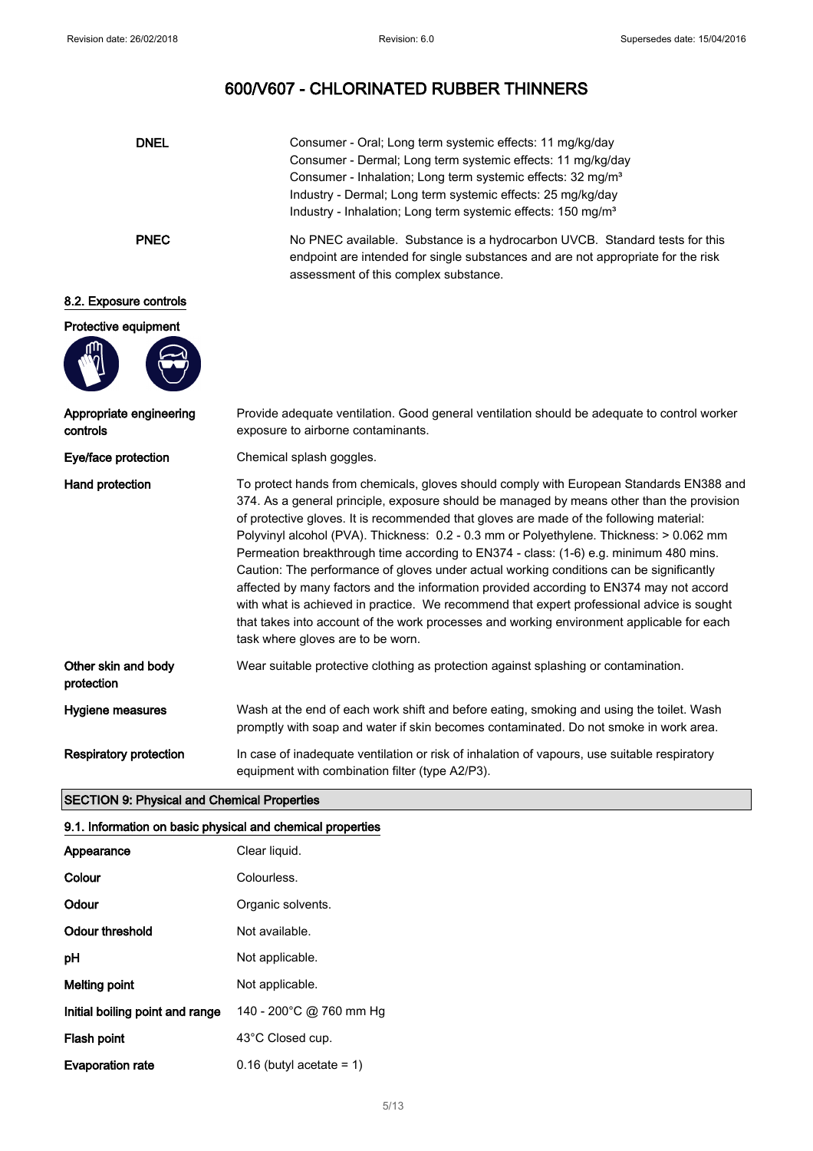| <b>DNEL</b>                         | Consumer - Oral; Long term systemic effects: 11 mg/kg/day<br>Consumer - Dermal; Long term systemic effects: 11 mg/kg/day<br>Consumer - Inhalation; Long term systemic effects: 32 mg/m <sup>3</sup><br>Industry - Dermal; Long term systemic effects: 25 mg/kg/day<br>Industry - Inhalation; Long term systemic effects: 150 mg/m <sup>3</sup>                                                                                                                                                                                                                                                                                                                                                                                                                                                                                                                                           |
|-------------------------------------|------------------------------------------------------------------------------------------------------------------------------------------------------------------------------------------------------------------------------------------------------------------------------------------------------------------------------------------------------------------------------------------------------------------------------------------------------------------------------------------------------------------------------------------------------------------------------------------------------------------------------------------------------------------------------------------------------------------------------------------------------------------------------------------------------------------------------------------------------------------------------------------|
| <b>PNEC</b>                         | No PNEC available. Substance is a hydrocarbon UVCB. Standard tests for this<br>endpoint are intended for single substances and are not appropriate for the risk<br>assessment of this complex substance.                                                                                                                                                                                                                                                                                                                                                                                                                                                                                                                                                                                                                                                                                 |
| 8.2. Exposure controls              |                                                                                                                                                                                                                                                                                                                                                                                                                                                                                                                                                                                                                                                                                                                                                                                                                                                                                          |
| Protective equipment                |                                                                                                                                                                                                                                                                                                                                                                                                                                                                                                                                                                                                                                                                                                                                                                                                                                                                                          |
| Appropriate engineering<br>controls | Provide adequate ventilation. Good general ventilation should be adequate to control worker<br>exposure to airborne contaminants.                                                                                                                                                                                                                                                                                                                                                                                                                                                                                                                                                                                                                                                                                                                                                        |
| Eye/face protection                 | Chemical splash goggles.                                                                                                                                                                                                                                                                                                                                                                                                                                                                                                                                                                                                                                                                                                                                                                                                                                                                 |
| Hand protection                     | To protect hands from chemicals, gloves should comply with European Standards EN388 and<br>374. As a general principle, exposure should be managed by means other than the provision<br>of protective gloves. It is recommended that gloves are made of the following material:<br>Polyvinyl alcohol (PVA). Thickness: 0.2 - 0.3 mm or Polyethylene. Thickness: > 0.062 mm<br>Permeation breakthrough time according to EN374 - class: (1-6) e.g. minimum 480 mins.<br>Caution: The performance of gloves under actual working conditions can be significantly<br>affected by many factors and the information provided according to EN374 may not accord<br>with what is achieved in practice. We recommend that expert professional advice is sought<br>that takes into account of the work processes and working environment applicable for each<br>task where gloves are to be worn. |
| Other skin and body<br>protection   | Wear suitable protective clothing as protection against splashing or contamination.                                                                                                                                                                                                                                                                                                                                                                                                                                                                                                                                                                                                                                                                                                                                                                                                      |
| Hygiene measures                    | Wash at the end of each work shift and before eating, smoking and using the toilet. Wash<br>promptly with soap and water if skin becomes contaminated. Do not smoke in work area.                                                                                                                                                                                                                                                                                                                                                                                                                                                                                                                                                                                                                                                                                                        |
| <b>Respiratory protection</b>       | In case of inadequate ventilation or risk of inhalation of vapours, use suitable respiratory<br>equipment with combination filter (type A2/P3).                                                                                                                                                                                                                                                                                                                                                                                                                                                                                                                                                                                                                                                                                                                                          |

## SECTION 9: Physical and Chemical Properties

## 9.1. Information on basic physical and chemical properties

| Appearance                      | Clear liquid.              |
|---------------------------------|----------------------------|
| Colour                          | Colourless.                |
| Odour                           | Organic solvents.          |
| Odour threshold                 | Not available.             |
| рH                              | Not applicable.            |
| Melting point                   | Not applicable.            |
| Initial boiling point and range | 140 - 200°C @ 760 mm Hg    |
| Flash point                     | 43°C Closed cup.           |
| <b>Evaporation rate</b>         | $0.16$ (butyl acetate = 1) |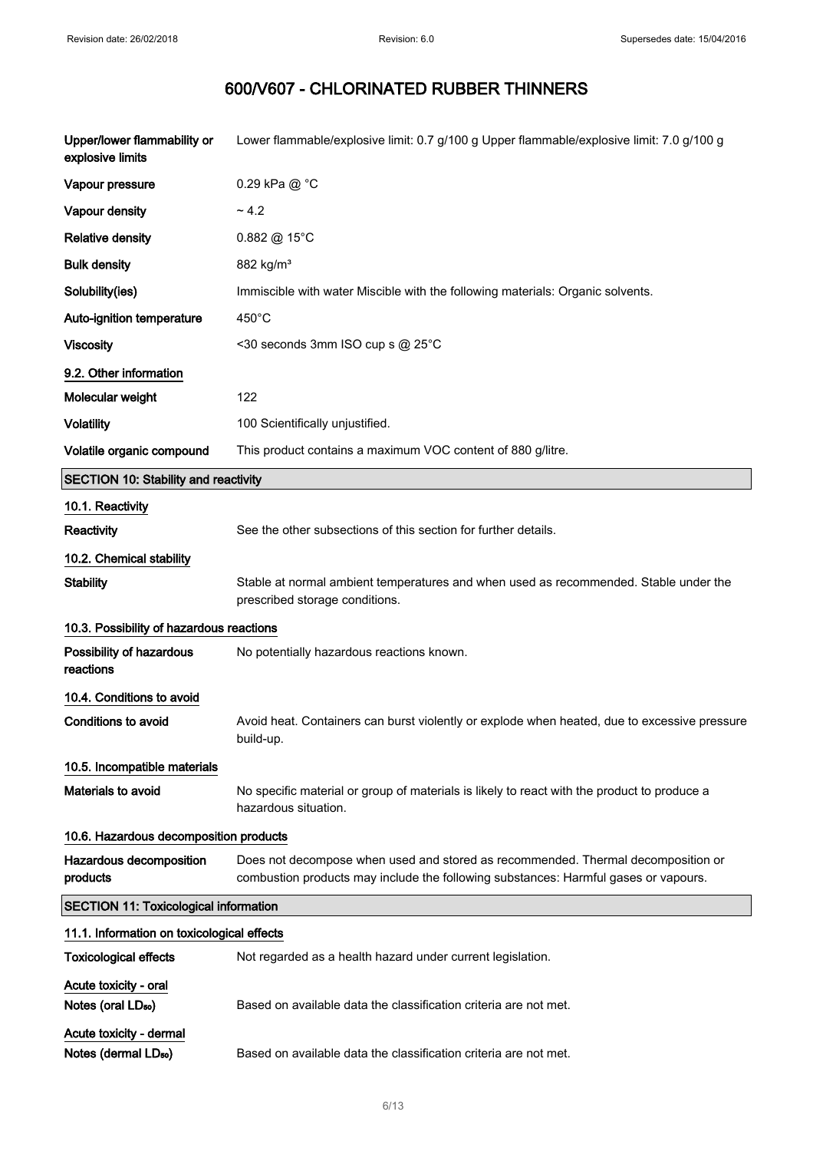| Upper/lower flammability or<br>explosive limits         | Lower flammable/explosive limit: 0.7 g/100 g Upper flammable/explosive limit: 7.0 g/100 g                                                                               |
|---------------------------------------------------------|-------------------------------------------------------------------------------------------------------------------------------------------------------------------------|
| Vapour pressure                                         | 0.29 kPa @ °C                                                                                                                                                           |
| Vapour density                                          | ~1.2                                                                                                                                                                    |
| <b>Relative density</b>                                 | 0.882 @ 15°C                                                                                                                                                            |
| <b>Bulk density</b>                                     | 882 kg/m <sup>3</sup>                                                                                                                                                   |
| Solubility(ies)                                         | Immiscible with water Miscible with the following materials: Organic solvents.                                                                                          |
| Auto-ignition temperature                               | 450°C                                                                                                                                                                   |
| <b>Viscosity</b>                                        | <30 seconds 3mm ISO cup s @ 25°C                                                                                                                                        |
| 9.2. Other information                                  |                                                                                                                                                                         |
| Molecular weight                                        | 122                                                                                                                                                                     |
| <b>Volatility</b>                                       | 100 Scientifically unjustified.                                                                                                                                         |
| Volatile organic compound                               | This product contains a maximum VOC content of 880 g/litre.                                                                                                             |
| <b>SECTION 10: Stability and reactivity</b>             |                                                                                                                                                                         |
| 10.1. Reactivity                                        |                                                                                                                                                                         |
| Reactivity                                              | See the other subsections of this section for further details.                                                                                                          |
| 10.2. Chemical stability                                |                                                                                                                                                                         |
| <b>Stability</b>                                        | Stable at normal ambient temperatures and when used as recommended. Stable under the<br>prescribed storage conditions.                                                  |
| 10.3. Possibility of hazardous reactions                |                                                                                                                                                                         |
| Possibility of hazardous<br>reactions                   | No potentially hazardous reactions known.                                                                                                                               |
| 10.4. Conditions to avoid                               |                                                                                                                                                                         |
| <b>Conditions to avoid</b>                              | Avoid heat. Containers can burst violently or explode when heated, due to excessive pressure                                                                            |
|                                                         | build-up.                                                                                                                                                               |
| 10.5. Incompatible materials                            |                                                                                                                                                                         |
| <b>Materials to avoid</b>                               | No specific material or group of materials is likely to react with the product to produce a<br>hazardous situation.                                                     |
| 10.6. Hazardous decomposition products                  |                                                                                                                                                                         |
| Hazardous decomposition<br>products                     | Does not decompose when used and stored as recommended. Thermal decomposition or<br>combustion products may include the following substances: Harmful gases or vapours. |
| <b>SECTION 11: Toxicological information</b>            |                                                                                                                                                                         |
| 11.1. Information on toxicological effects              |                                                                                                                                                                         |
| <b>Toxicological effects</b>                            | Not regarded as a health hazard under current legislation.                                                                                                              |
| Acute toxicity - oral<br>Notes (oral LD <sub>50</sub> ) | Based on available data the classification criteria are not met.                                                                                                        |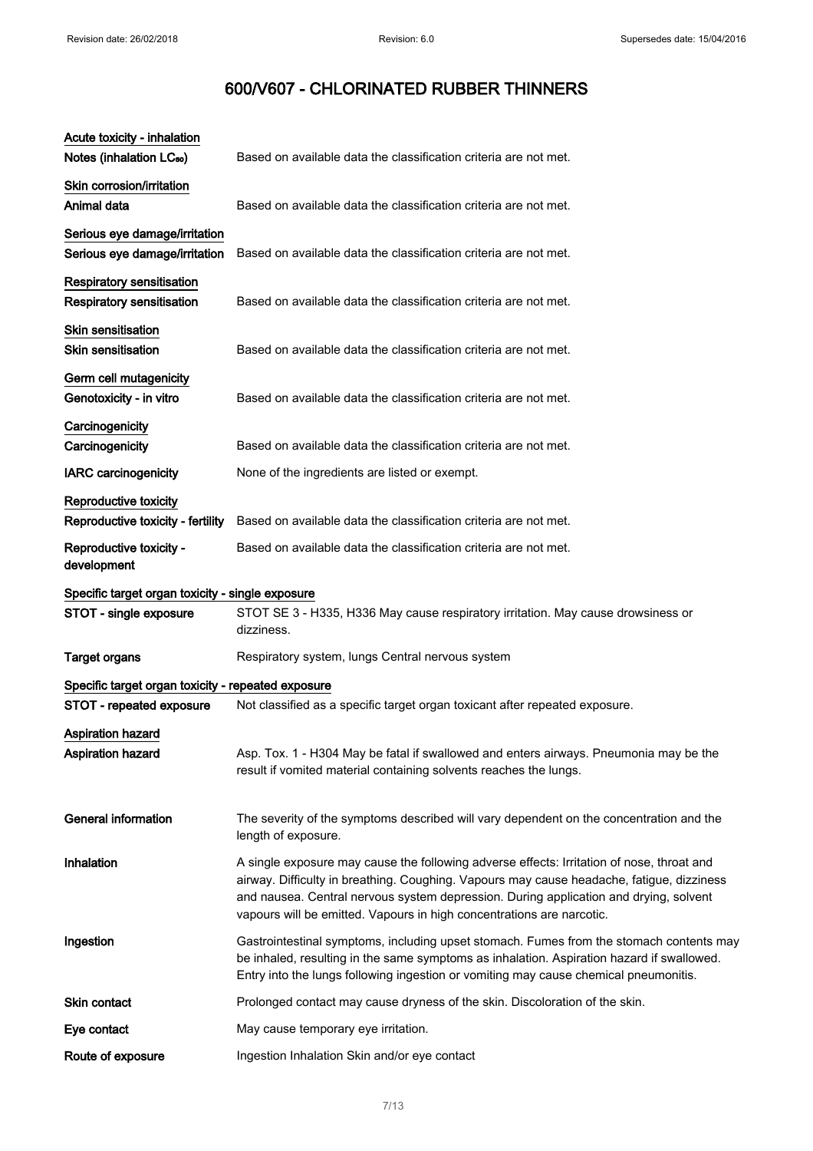| Acute toxicity - inhalation<br>Notes (inhalation LC <sub>50</sub> ) | Based on available data the classification criteria are not met.                                                                                                                                                                                                                                                                                         |
|---------------------------------------------------------------------|----------------------------------------------------------------------------------------------------------------------------------------------------------------------------------------------------------------------------------------------------------------------------------------------------------------------------------------------------------|
| Skin corrosion/irritation<br>Animal data                            | Based on available data the classification criteria are not met.                                                                                                                                                                                                                                                                                         |
| Serious eye damage/irritation                                       |                                                                                                                                                                                                                                                                                                                                                          |
| Serious eye damage/irritation                                       | Based on available data the classification criteria are not met.                                                                                                                                                                                                                                                                                         |
| <b>Respiratory sensitisation</b><br>Respiratory sensitisation       | Based on available data the classification criteria are not met.                                                                                                                                                                                                                                                                                         |
| <b>Skin sensitisation</b><br><b>Skin sensitisation</b>              | Based on available data the classification criteria are not met.                                                                                                                                                                                                                                                                                         |
| Germ cell mutagenicity<br>Genotoxicity - in vitro                   | Based on available data the classification criteria are not met.                                                                                                                                                                                                                                                                                         |
| Carcinogenicity<br>Carcinogenicity                                  | Based on available data the classification criteria are not met.                                                                                                                                                                                                                                                                                         |
| <b>IARC</b> carcinogenicity                                         | None of the ingredients are listed or exempt.                                                                                                                                                                                                                                                                                                            |
| Reproductive toxicity<br>Reproductive toxicity - fertility          | Based on available data the classification criteria are not met.                                                                                                                                                                                                                                                                                         |
| Reproductive toxicity -<br>development                              | Based on available data the classification criteria are not met.                                                                                                                                                                                                                                                                                         |
| Specific target organ toxicity - single exposure                    |                                                                                                                                                                                                                                                                                                                                                          |
| STOT - single exposure                                              | STOT SE 3 - H335, H336 May cause respiratory irritation. May cause drowsiness or<br>dizziness.                                                                                                                                                                                                                                                           |
| <b>Target organs</b>                                                | Respiratory system, lungs Central nervous system                                                                                                                                                                                                                                                                                                         |
| Specific target organ toxicity - repeated exposure                  |                                                                                                                                                                                                                                                                                                                                                          |
| STOT - repeated exposure                                            | Not classified as a specific target organ toxicant after repeated exposure.                                                                                                                                                                                                                                                                              |
| <b>Aspiration hazard</b><br>Aspiration hazard                       | Asp. Tox. 1 - H304 May be fatal if swallowed and enters airways. Pneumonia may be the<br>result if vomited material containing solvents reaches the lungs.                                                                                                                                                                                               |
| <b>General information</b>                                          | The severity of the symptoms described will vary dependent on the concentration and the<br>length of exposure.                                                                                                                                                                                                                                           |
| Inhalation                                                          | A single exposure may cause the following adverse effects: Irritation of nose, throat and<br>airway. Difficulty in breathing. Coughing. Vapours may cause headache, fatigue, dizziness<br>and nausea. Central nervous system depression. During application and drying, solvent<br>vapours will be emitted. Vapours in high concentrations are narcotic. |
| Ingestion                                                           | Gastrointestinal symptoms, including upset stomach. Fumes from the stomach contents may<br>be inhaled, resulting in the same symptoms as inhalation. Aspiration hazard if swallowed.<br>Entry into the lungs following ingestion or vomiting may cause chemical pneumonitis.                                                                             |
| Skin contact                                                        | Prolonged contact may cause dryness of the skin. Discoloration of the skin.                                                                                                                                                                                                                                                                              |
| Eye contact                                                         | May cause temporary eye irritation.                                                                                                                                                                                                                                                                                                                      |
| Route of exposure                                                   | Ingestion Inhalation Skin and/or eye contact                                                                                                                                                                                                                                                                                                             |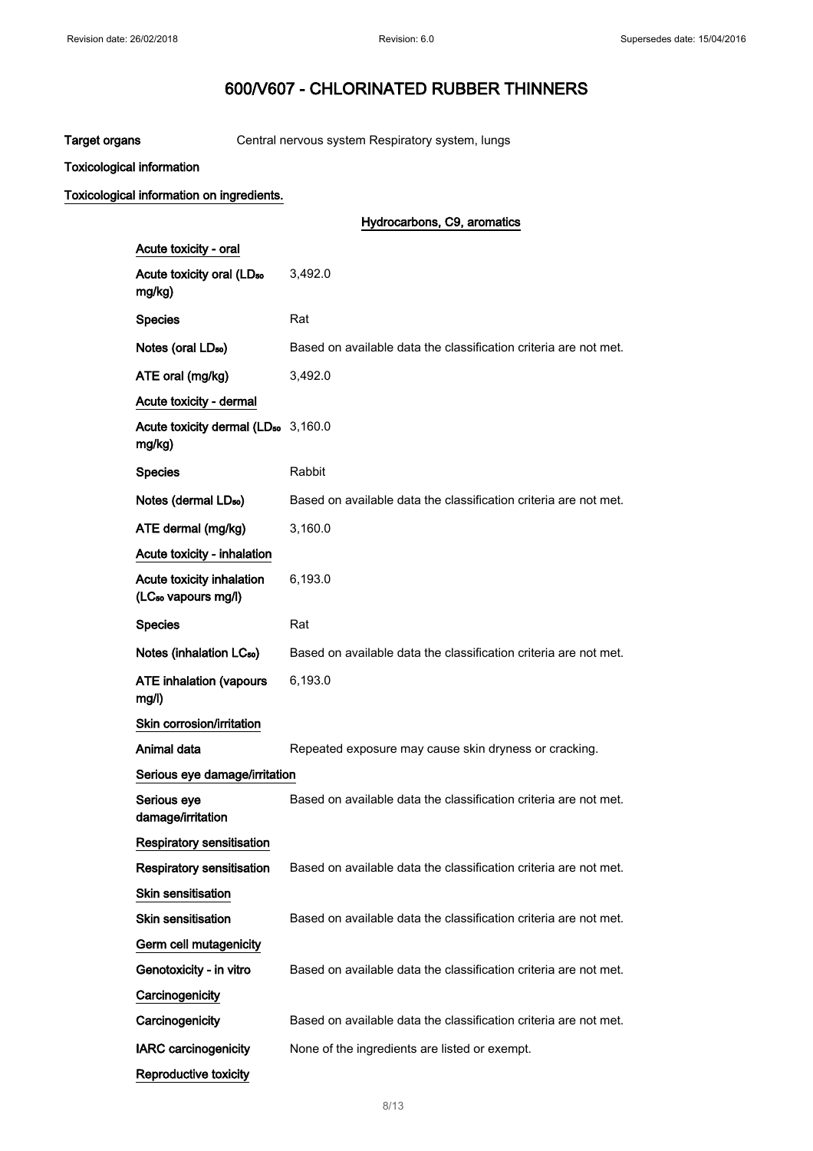Target organs Central nervous system Respiratory system, lungs

Toxicological information

## Toxicological information on ingredients.

|                                                              | Hydrocarbons, C9, aromatics                                      |
|--------------------------------------------------------------|------------------------------------------------------------------|
| Acute toxicity - oral                                        |                                                                  |
| Acute toxicity oral (LD <sub>50</sub><br>mg/kg)              | 3,492.0                                                          |
| <b>Species</b>                                               | Rat                                                              |
| Notes (oral LD <sub>50</sub> )                               | Based on available data the classification criteria are not met. |
| ATE oral (mg/kg)                                             | 3,492.0                                                          |
| Acute toxicity - dermal                                      |                                                                  |
| Acute toxicity dermal (LD <sub>50</sub> 3,160.0<br>mg/kg)    |                                                                  |
| <b>Species</b>                                               | Rabbit                                                           |
| Notes (dermal LD <sub>50</sub> )                             | Based on available data the classification criteria are not met. |
| ATE dermal (mg/kg)                                           | 3,160.0                                                          |
| Acute toxicity - inhalation                                  |                                                                  |
| Acute toxicity inhalation<br>(LC <sub>so</sub> vapours mg/l) | 6,193.0                                                          |
| <b>Species</b>                                               | Rat                                                              |
| Notes (inhalation LC <sub>50</sub> )                         | Based on available data the classification criteria are not met. |
| <b>ATE inhalation (vapours</b><br>mg/l)                      | 6,193.0                                                          |
| Skin corrosion/irritation                                    |                                                                  |
| Animal data                                                  | Repeated exposure may cause skin dryness or cracking.            |
| Serious eye damage/irritation                                |                                                                  |
| Serious eye<br>damage/irritation                             | Based on available data the classification criteria are not met. |
| <b>Respiratory sensitisation</b>                             |                                                                  |
| <b>Respiratory sensitisation</b>                             | Based on available data the classification criteria are not met. |
| <b>Skin sensitisation</b>                                    |                                                                  |
| Skin sensitisation                                           | Based on available data the classification criteria are not met. |
| Germ cell mutagenicity                                       |                                                                  |
| Genotoxicity - in vitro                                      | Based on available data the classification criteria are not met. |
| Carcinogenicity                                              |                                                                  |
| Carcinogenicity                                              | Based on available data the classification criteria are not met. |
| <b>IARC carcinogenicity</b>                                  | None of the ingredients are listed or exempt.                    |
| Reproductive toxicity                                        |                                                                  |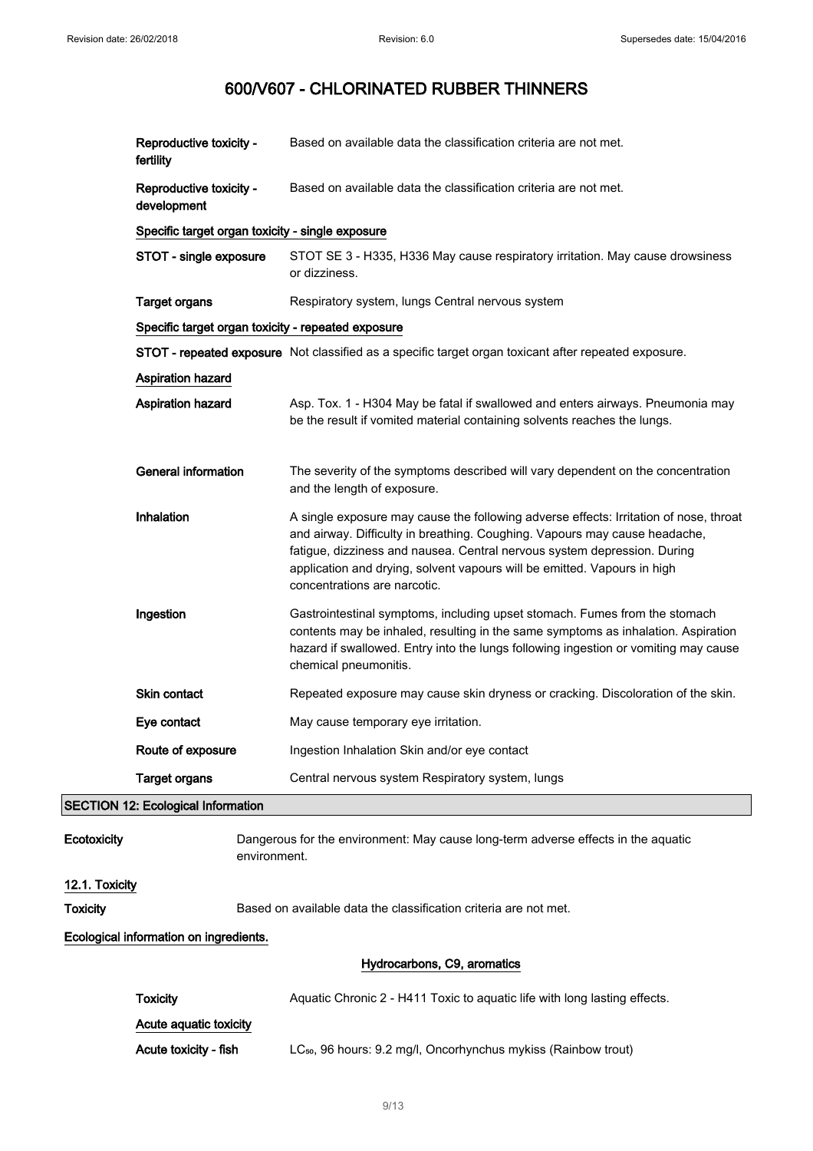|                                        | Reproductive toxicity -<br>fertility             | Based on available data the classification criteria are not met.                                                                                                                                                                                                                                                                                            |  |
|----------------------------------------|--------------------------------------------------|-------------------------------------------------------------------------------------------------------------------------------------------------------------------------------------------------------------------------------------------------------------------------------------------------------------------------------------------------------------|--|
|                                        | Reproductive toxicity -<br>development           | Based on available data the classification criteria are not met.                                                                                                                                                                                                                                                                                            |  |
|                                        | Specific target organ toxicity - single exposure |                                                                                                                                                                                                                                                                                                                                                             |  |
|                                        | STOT - single exposure                           | STOT SE 3 - H335, H336 May cause respiratory irritation. May cause drowsiness<br>or dizziness.                                                                                                                                                                                                                                                              |  |
|                                        | <b>Target organs</b>                             | Respiratory system, lungs Central nervous system                                                                                                                                                                                                                                                                                                            |  |
|                                        |                                                  | Specific target organ toxicity - repeated exposure                                                                                                                                                                                                                                                                                                          |  |
|                                        |                                                  | STOT - repeated exposure Not classified as a specific target organ toxicant after repeated exposure.                                                                                                                                                                                                                                                        |  |
|                                        | Aspiration hazard                                |                                                                                                                                                                                                                                                                                                                                                             |  |
|                                        | Aspiration hazard                                | Asp. Tox. 1 - H304 May be fatal if swallowed and enters airways. Pneumonia may<br>be the result if vomited material containing solvents reaches the lungs.                                                                                                                                                                                                  |  |
|                                        | <b>General information</b>                       | The severity of the symptoms described will vary dependent on the concentration<br>and the length of exposure.                                                                                                                                                                                                                                              |  |
|                                        | Inhalation                                       | A single exposure may cause the following adverse effects: Irritation of nose, throat<br>and airway. Difficulty in breathing. Coughing. Vapours may cause headache,<br>fatigue, dizziness and nausea. Central nervous system depression. During<br>application and drying, solvent vapours will be emitted. Vapours in high<br>concentrations are narcotic. |  |
|                                        | Ingestion                                        | Gastrointestinal symptoms, including upset stomach. Fumes from the stomach<br>contents may be inhaled, resulting in the same symptoms as inhalation. Aspiration<br>hazard if swallowed. Entry into the lungs following ingestion or vomiting may cause<br>chemical pneumonitis.                                                                             |  |
|                                        | Skin contact                                     | Repeated exposure may cause skin dryness or cracking. Discoloration of the skin.                                                                                                                                                                                                                                                                            |  |
|                                        | Eye contact                                      | May cause temporary eye irritation.                                                                                                                                                                                                                                                                                                                         |  |
|                                        | Route of exposure                                | Ingestion Inhalation Skin and/or eye contact                                                                                                                                                                                                                                                                                                                |  |
|                                        | <b>Target organs</b>                             | Central nervous system Respiratory system, lungs                                                                                                                                                                                                                                                                                                            |  |
|                                        | <b>SECTION 12: Ecological Information</b>        |                                                                                                                                                                                                                                                                                                                                                             |  |
| Ecotoxicity                            |                                                  | Dangerous for the environment: May cause long-term adverse effects in the aquatic<br>environment.                                                                                                                                                                                                                                                           |  |
| 12.1. Toxicity                         |                                                  |                                                                                                                                                                                                                                                                                                                                                             |  |
| <b>Toxicity</b>                        |                                                  | Based on available data the classification criteria are not met.                                                                                                                                                                                                                                                                                            |  |
| Ecological information on ingredients. |                                                  |                                                                                                                                                                                                                                                                                                                                                             |  |
|                                        | Hydrocarbons, C9, aromatics                      |                                                                                                                                                                                                                                                                                                                                                             |  |

| Toxicity               | Aquatic Chronic 2 - H411 Toxic to aquatic life with long lasting effects.  |
|------------------------|----------------------------------------------------------------------------|
| Acute aquatic toxicity |                                                                            |
| Acute toxicity - fish  | LC <sub>50</sub> , 96 hours: 9.2 mg/l, Oncorhynchus mykiss (Rainbow trout) |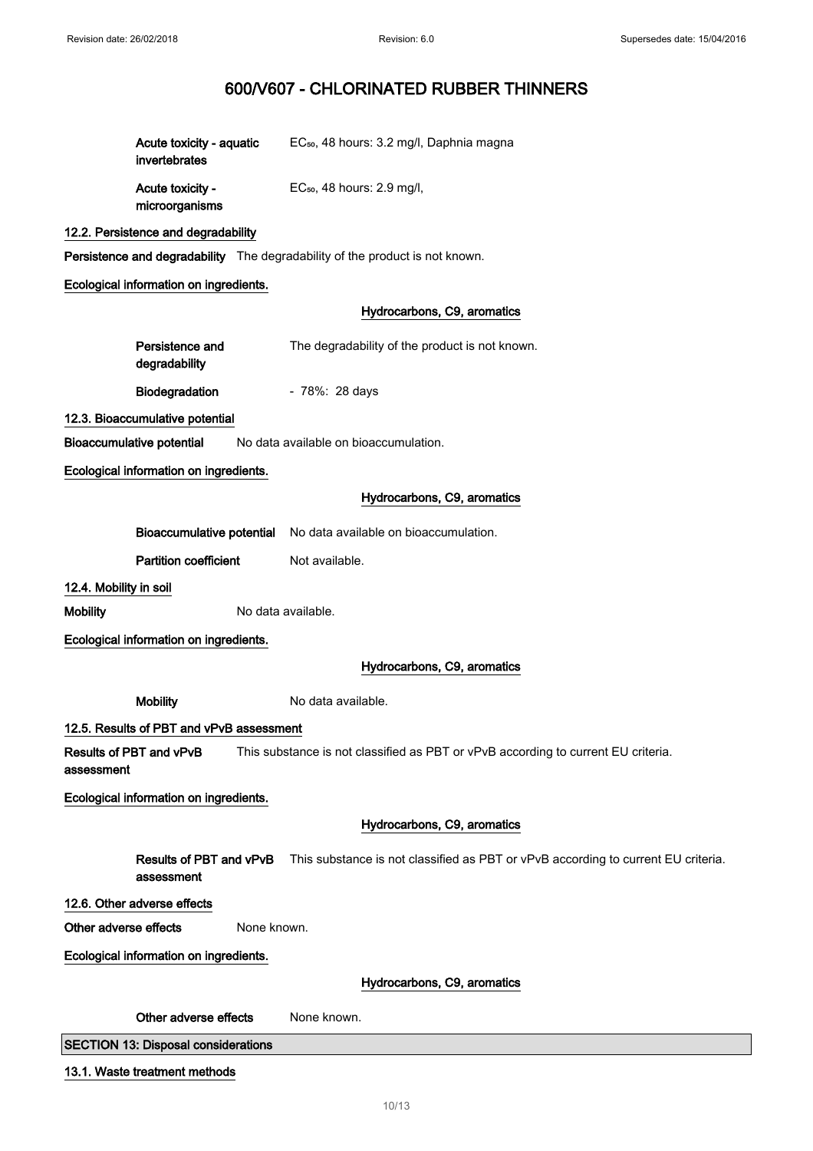| Acute toxicity - aguatic<br>invertebrates | EC <sub>50</sub> , 48 hours: 3.2 mg/l, Daphnia magna |
|-------------------------------------------|------------------------------------------------------|
| Acute toxicity -<br>microorganisms        | $EC_{50}$ , 48 hours: 2.9 mg/l,                      |

## 12.2. Persistence and degradability

Persistence and degradability The degradability of the product is not known.

## Ecological information on ingredients.

## Hydrocarbons, C9, aromatics

| Persistence and<br>degradability | The degradability of the product is not known. |
|----------------------------------|------------------------------------------------|
| <b>Biodegradation</b>            | - 78%: 28 days                                 |
| المثاهمة ممرور متشمل بمعرن       |                                                |

## 12.3. Bioaccumulative potential

Bioaccumulative potential No data available on bioaccumulation.

Ecological information on ingredients.

## Hydrocarbons, C9, aromatics

|                                       |                                            | Bioaccumulative potential No data available on bioaccumulation.                   |
|---------------------------------------|--------------------------------------------|-----------------------------------------------------------------------------------|
|                                       | <b>Partition coefficient</b>               | Not available.                                                                    |
| 12.4. Mobility in soil                |                                            |                                                                                   |
| <b>Mobility</b>                       |                                            | No data available.                                                                |
|                                       | Ecological information on ingredients.     |                                                                                   |
|                                       |                                            | Hydrocarbons, C9, aromatics                                                       |
|                                       | <b>Mobility</b>                            | No data available.                                                                |
|                                       | 12.5. Results of PBT and vPvB assessment   |                                                                                   |
| Results of PBT and vPvB<br>assessment |                                            | This substance is not classified as PBT or vPvB according to current EU criteria. |
|                                       | Ecological information on ingredients.     |                                                                                   |
|                                       |                                            | Hydrocarbons, C9, aromatics                                                       |
|                                       | Results of PBT and vPvB<br>assessment      | This substance is not classified as PBT or vPvB according to current EU criteria. |
| 12.6. Other adverse effects           |                                            |                                                                                   |
| Other adverse effects                 | None known.                                |                                                                                   |
|                                       | Ecological information on ingredients.     |                                                                                   |
|                                       |                                            | Hydrocarbons, C9, aromatics                                                       |
|                                       | Other adverse effects                      | None known.                                                                       |
|                                       | <b>SECTION 13: Disposal considerations</b> |                                                                                   |
|                                       | 13.1. Waste treatment methods              |                                                                                   |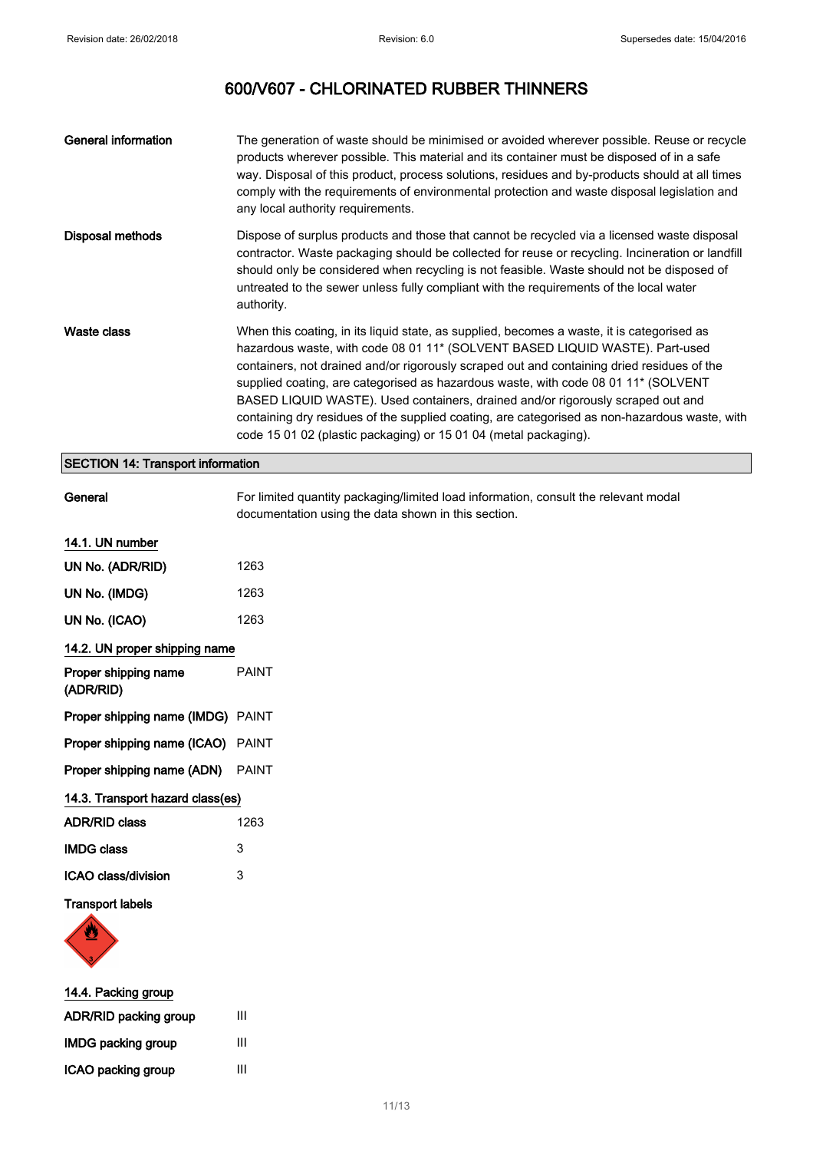| <b>General information</b>               | The generation of waste should be minimised or avoided wherever possible. Reuse or recycle<br>products wherever possible. This material and its container must be disposed of in a safe<br>way. Disposal of this product, process solutions, residues and by-products should at all times<br>comply with the requirements of environmental protection and waste disposal legislation and<br>any local authority requirements.                                                                                                                                                                                          |
|------------------------------------------|------------------------------------------------------------------------------------------------------------------------------------------------------------------------------------------------------------------------------------------------------------------------------------------------------------------------------------------------------------------------------------------------------------------------------------------------------------------------------------------------------------------------------------------------------------------------------------------------------------------------|
| Disposal methods                         | Dispose of surplus products and those that cannot be recycled via a licensed waste disposal<br>contractor. Waste packaging should be collected for reuse or recycling. Incineration or landfill<br>should only be considered when recycling is not feasible. Waste should not be disposed of<br>untreated to the sewer unless fully compliant with the requirements of the local water<br>authority.                                                                                                                                                                                                                   |
| Waste class                              | When this coating, in its liquid state, as supplied, becomes a waste, it is categorised as<br>hazardous waste, with code 08 01 11* (SOLVENT BASED LIQUID WASTE). Part-used<br>containers, not drained and/or rigorously scraped out and containing dried residues of the<br>supplied coating, are categorised as hazardous waste, with code 08 01 11* (SOLVENT<br>BASED LIQUID WASTE). Used containers, drained and/or rigorously scraped out and<br>containing dry residues of the supplied coating, are categorised as non-hazardous waste, with<br>code 15 01 02 (plastic packaging) or 15 01 04 (metal packaging). |
| <b>SECTION 14: Transport information</b> |                                                                                                                                                                                                                                                                                                                                                                                                                                                                                                                                                                                                                        |
| General                                  | For limited quantity packaging/limited load information, consult the relevant modal<br>documentation using the data shown in this section.                                                                                                                                                                                                                                                                                                                                                                                                                                                                             |

## 14.1. UN number

| UN No. (ADR/RID)                         | 1263         |
|------------------------------------------|--------------|
| UN No. (IMDG)                            | 1263         |
| UN No. (ICAO)                            | 1263         |
| 14.2. UN proper shipping name            |              |
| Proper shipping name<br>(ADR/RID)        | <b>PAINT</b> |
| <b>Proper shipping name (IMDG)</b> PAINT |              |
| <b>Proper shipping name (ICAO)</b> PAINT |              |
| <b>Proper shipping name (ADN)</b> PAINT  |              |
| 14.3. Transport hazard class(es)         |              |
| <b>ADR/RID class</b>                     | 1263         |
| <b>IMDG class</b>                        | 3            |
| ICAO class/division                      | 3            |

## Transport labels



| 14.4. Packing group       |   |
|---------------------------|---|
| ADR/RID packing group     | Ш |
| <b>IMDG packing group</b> | Ш |
| ICAO packing group        | Ш |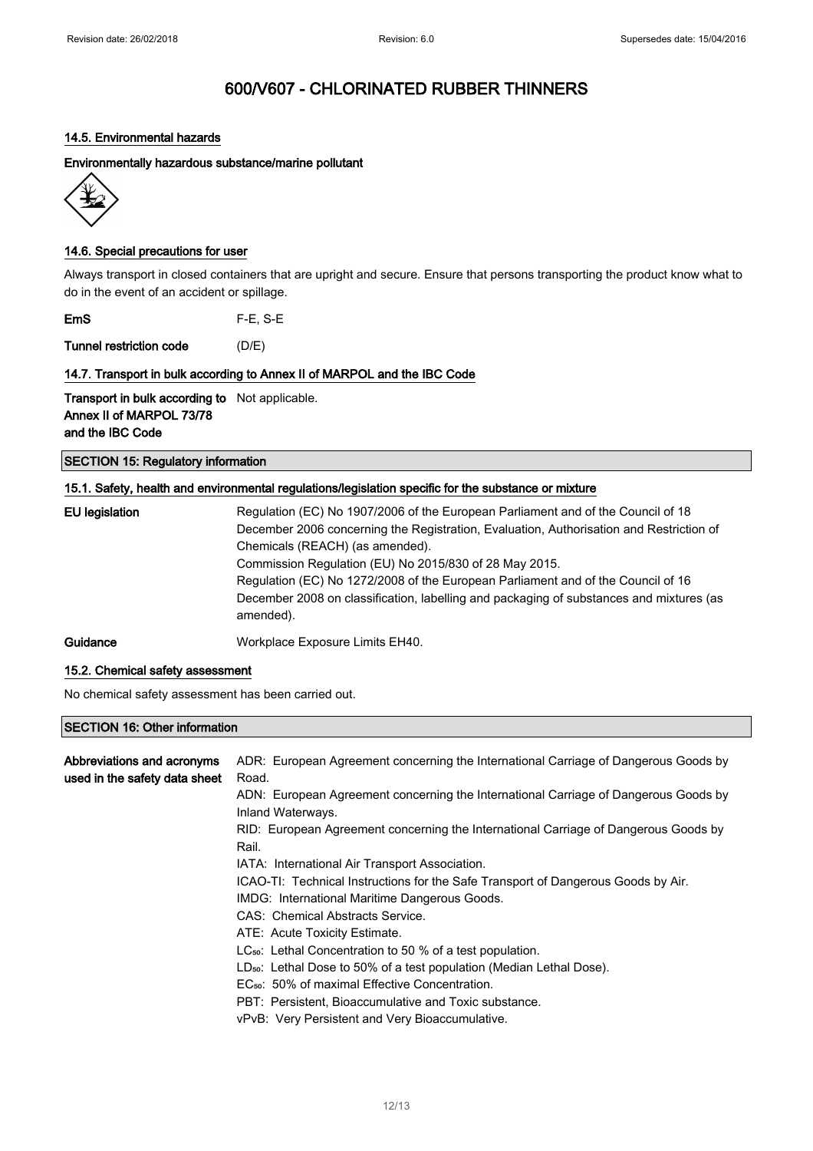## 14.5. Environmental hazards

Environmentally hazardous substance/marine pollutant



## 14.6. Special precautions for user

Always transport in closed containers that are upright and secure. Ensure that persons transporting the product know what to do in the event of an accident or spillage.

EmS F-E, S-E

Tunnel restriction code (D/E)

## 14.7. Transport in bulk according to Annex II of MARPOL and the IBC Code

Transport in bulk according to Not applicable. Annex II of MARPOL 73/78 and the IBC Code

## SECTION 15: Regulatory information

## 15.1. Safety, health and environmental regulations/legislation specific for the substance or mixture

| EU legislation | Regulation (EC) No 1907/2006 of the European Parliament and of the Council of 18<br>December 2006 concerning the Registration, Evaluation, Authorisation and Restriction of<br>Chemicals (REACH) (as amended).<br>Commission Regulation (EU) No 2015/830 of 28 May 2015.<br>Regulation (EC) No 1272/2008 of the European Parliament and of the Council of 16<br>December 2008 on classification, labelling and packaging of substances and mixtures (as<br>amended). |
|----------------|----------------------------------------------------------------------------------------------------------------------------------------------------------------------------------------------------------------------------------------------------------------------------------------------------------------------------------------------------------------------------------------------------------------------------------------------------------------------|
| Guidance       | Workplace Exposure Limits EH40.                                                                                                                                                                                                                                                                                                                                                                                                                                      |

### 15.2. Chemical safety assessment

No chemical safety assessment has been carried out.

## SECTION 16: Other information

| Abbreviations and acronyms<br>used in the safety data sheet | ADR: European Agreement concerning the International Carriage of Dangerous Goods by<br>Road.             |
|-------------------------------------------------------------|----------------------------------------------------------------------------------------------------------|
|                                                             | ADN: European Agreement concerning the International Carriage of Dangerous Goods by<br>Inland Waterways. |
|                                                             | RID: European Agreement concerning the International Carriage of Dangerous Goods by<br>Rail.             |
|                                                             | IATA: International Air Transport Association.                                                           |
|                                                             | ICAO-TI: Technical Instructions for the Safe Transport of Dangerous Goods by Air.                        |
|                                                             | IMDG: International Maritime Dangerous Goods.                                                            |
|                                                             | CAS: Chemical Abstracts Service.                                                                         |
|                                                             | ATE: Acute Toxicity Estimate.                                                                            |
|                                                             | $LC_{50}$ : Lethal Concentration to 50 % of a test population.                                           |
|                                                             | LD <sub>50</sub> : Lethal Dose to 50% of a test population (Median Lethal Dose).                         |
|                                                             | EC <sub>50</sub> : 50% of maximal Effective Concentration.                                               |
|                                                             | PBT: Persistent. Bioaccumulative and Toxic substance.                                                    |
|                                                             | vPvB: Very Persistent and Very Bioaccumulative.                                                          |